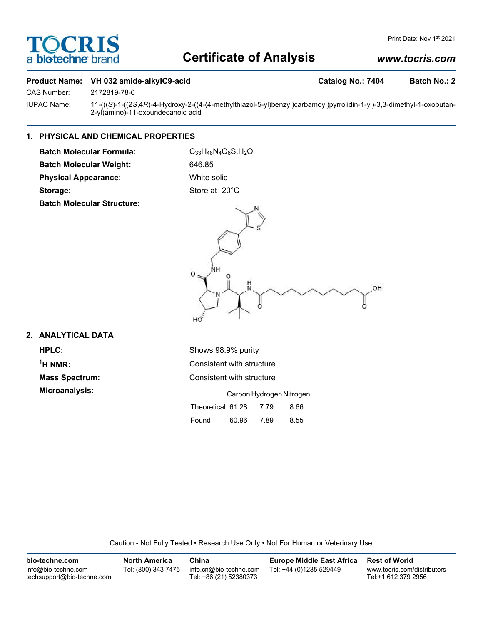# **Certificate of Analysis**

# *www.tocris.com*

## Product Name: VH 032 amide-alkylC9-acid Catalog No.: 7404 Batch No.: 2

a biotechne

CAS Number: 2172819-78-0

IUPAC Name: 11-(((*S*)-1-((2*S*,4*R*)-4-Hydroxy-2-((4-(4-methylthiazol-5-yl)benzyl)carbamoyl)pyrrolidin-1-yl)-3,3-dimethyl-1-oxobutan-2-yl)amino)-11-oxoundecanoic acid

# **1. PHYSICAL AND CHEMICAL PROPERTIES**

**Batch Molecular Formula:** C<sub>33</sub>H<sub>48</sub>N<sub>4</sub>O<sub>6</sub>S.H<sub>2</sub>O **Batch Molecular Weight:** 646.85 **Physical Appearance:** White solid

**FOCRIS** 

Storage: Store at -20°C

**Batch Molecular Structure:**



## **2. ANALYTICAL DATA**

| <b>HPLC:</b>          | Shows 98.9% purity                |  |  |  |
|-----------------------|-----------------------------------|--|--|--|
| $^1$ H NMR:           | Consistent with structure         |  |  |  |
| <b>Mass Spectrum:</b> | Consistent with structure         |  |  |  |
| Microanalysis:        | Carbon Hydrogen Nitrogen          |  |  |  |
|                       | Theoretical 61.28<br>8.66<br>7.79 |  |  |  |
|                       | Found<br>60.96<br>7.89<br>8.55    |  |  |  |

Caution - Not Fully Tested • Research Use Only • Not For Human or Veterinary Use

| bio-techne.com                                    | <b>North America</b> | China                                            | <b>Europe Middle East Africa</b> | <b>Rest of World</b>                               |
|---------------------------------------------------|----------------------|--------------------------------------------------|----------------------------------|----------------------------------------------------|
| info@bio-techne.com<br>techsupport@bio-techne.com | Tel: (800) 343 7475  | info.cn@bio-techne.com<br>Tel: +86 (21) 52380373 | Tel: +44 (0)1235 529449          | www.tocris.com/distributors<br>Tel:+1 612 379 2956 |